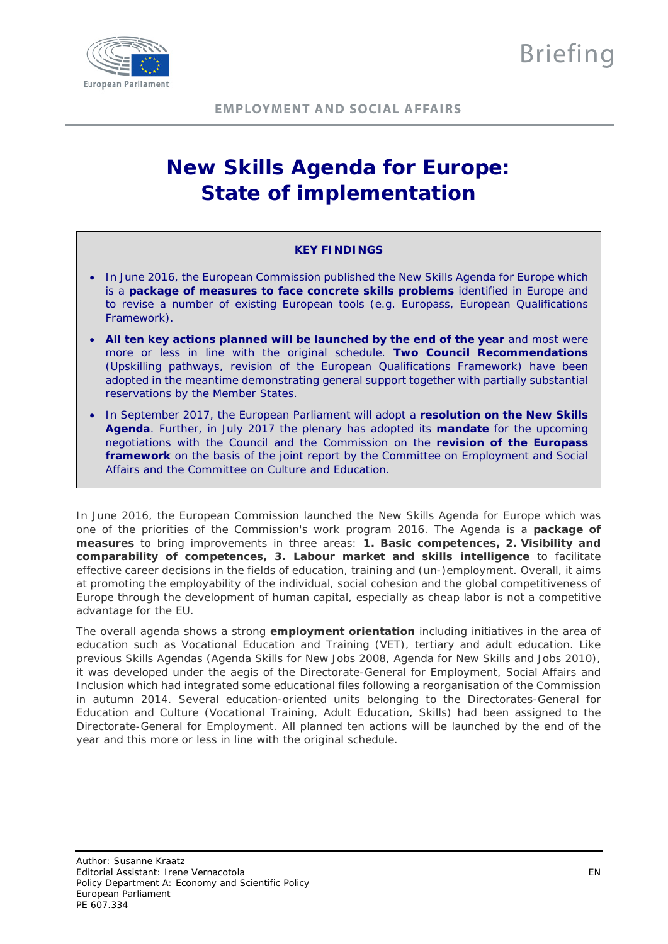

# **New Skills Agenda for Europe: State of implementation**

# **KEY FINDINGS**

- In June 2016, the European Commission published the New Skills Agenda for Europe which is a **package of measures to face concrete skills problems** identified in Europe and to revise a number of existing European tools (e.g. Europass, European Qualifications Framework).
- **All ten key actions planned will be launched by the end of the year** and most were more or less in line with the original schedule. **Two Council Recommendations** (Upskilling pathways, revision of the European Qualifications Framework) have been adopted in the meantime demonstrating general support together with partially substantial reservations by the Member States.
- In September 2017, the European Parliament will adopt a **resolution on the New Skills Agenda**. Further, in July 2017 the plenary has adopted its **mandate** for the upcoming negotiations with the Council and the Commission on the **revision of the Europass framework** on the basis of the joint report by the Committee on Employment and Social Affairs and the Committee on Culture and Education.

In June 2016, the European Commission launched the New Skills Agenda for Europe which was one of the priorities of the Commission's work program 2016. The Agenda is a **package of measures** to bring improvements in three areas: **1. Basic competences, 2. Visibility and comparability of competences, 3. Labour market and skills intelligence** to facilitate effective career decisions in the fields of education, training and (un-)employment. Overall, it aims at promoting the employability of the individual, social cohesion and the global competitiveness of Europe through the development of human capital, especially as cheap labor is not a competitive advantage for the EU.

The overall agenda shows a strong **employment orientation** including initiatives in the area of education such as Vocational Education and Training (VET), tertiary and adult education. Like previous Skills Agendas (Agenda Skills for New Jobs 2008, Agenda for New Skills and Jobs 2010), it was developed under the aegis of the Directorate-General for Employment, Social Affairs and Inclusion which had integrated some educational files following a reorganisation of the Commission in autumn 2014. Several education-oriented units belonging to the Directorates-General for Education and Culture (Vocational Training, Adult Education, Skills) had been assigned to the Directorate-General for Employment. All planned ten actions will be launched by the end of the year and this more or less in line with the original schedule.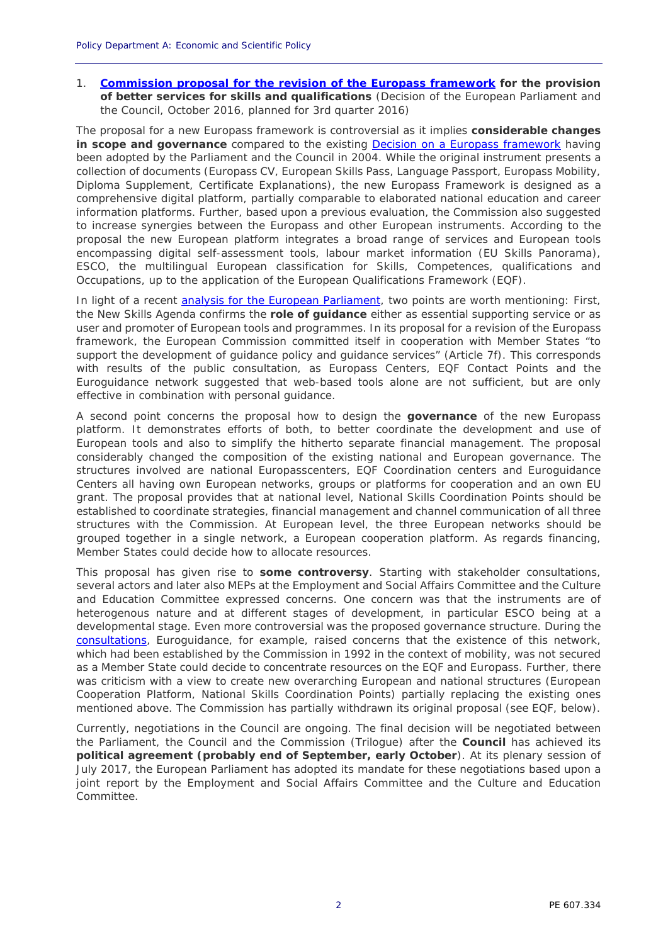1. **[Commission proposal for the revision of the Europass framework](http://ec.europa.eu/social/BlobServlet?docId=16255&langId=en.) for the provision of better services for skills and qualifications** (Decision of the European Parliament and the Council, October 2016, planned for 3rd quarter 2016)

The proposal for a new Europass framework is controversial as it implies **considerable changes in scope and governance** compared to the existing Decision [on a Europass framework](http://eur-lex.europa.eu/legal-content/EN/ALL/?uri=CELEX%3A32004D2241) having been adopted by the Parliament and the Council in 2004. While the original instrument presents a collection of documents (Europass CV, European Skills Pass, Language Passport, Europass Mobility, Diploma Supplement, Certificate Explanations), the new Europass Framework is designed as a comprehensive digital platform, partially comparable to elaborated national education and career information platforms. Further, based upon a previous evaluation, the Commission also suggested to increase synergies between the Europass and other European instruments. According to the proposal the new European platform integrates a broad range of services and European tools encompassing digital self-assessment tools, labour market information (EU Skills Panorama), ESCO, the multilingual European classification for Skills, Competences, qualifications and Occupations, up to the application of the European Qualifications Framework (EQF).

In light of a recent [analysis for the European Parliament,](http://www.europarl.europa.eu/RegData/etudes/BRIE/2017/595369/IPOL_BRI%282017%29595369_EN.pdf) two points are worth mentioning: First, the New Skills Agenda confirms the **role of guidance** either as essential supporting service or as user and promoter of European tools and programmes. In its proposal for a revision of the Europass framework, the European Commission committed itself in cooperation with Member States "*to*  support the development of guidance policy and guidance services" (Article 7f). This corresponds with results of the public consultation, as Europass Centers, EQF Contact Points and the Euroguidance network suggested that web-based tools alone are not sufficient, but are only effective in combination with personal guidance.

A second point concerns the proposal how to design the **governance** of the new Europass platform. It demonstrates efforts of both, to better coordinate the development and use of European tools and also to simplify the hitherto separate financial management. The proposal considerably changed the composition of the existing national and European governance. The structures involved are national Europasscenters, EQF Coordination centers and Euroguidance Centers all having own European networks, groups or platforms for cooperation and an own EU grant. The proposal provides that at national level, National Skills Coordination Points should be established to coordinate strategies, financial management and channel communication of all three structures with the Commission. At European level, the three European networks should be grouped together in a single network, a European cooperation platform. As regards financing, Member States could decide how to allocate resources.

This proposal has given rise to **some controversy**. Starting with stakeholder consultations, several actors and later also MEPs at the Employment and Social Affairs Committee and the Culture and Education Committee expressed concerns. One concern was that the instruments are of heterogenous nature and at different stages of development, in particular ESCO being at a developmental stage. Even more controversial was the proposed governance structure. During the [consultations,](http://ec.europa.eu/social/BlobServlet?docId=16256&langId=en) Euroguidance, for example, raised concerns that the existence of this network, which had been established by the Commission in 1992 in the context of mobility, was not secured as a Member State could decide to concentrate resources on the EQF and Europass. Further, there was criticism with a view to create new overarching European and national structures (European Cooperation Platform, National Skills Coordination Points) partially replacing the existing ones mentioned above. The Commission has partially withdrawn its original proposal (see EQF, below).

Currently, negotiations in the Council are ongoing. The final decision will be negotiated between the Parliament, the Council and the Commission (Trilogue) after the **Council** has achieved its **political agreement (probably end of September, early October**). At its plenary session of July 2017, the European Parliament has adopted its mandate for these negotiations based upon a joint report by the Employment and Social Affairs Committee and the Culture and Education Committee.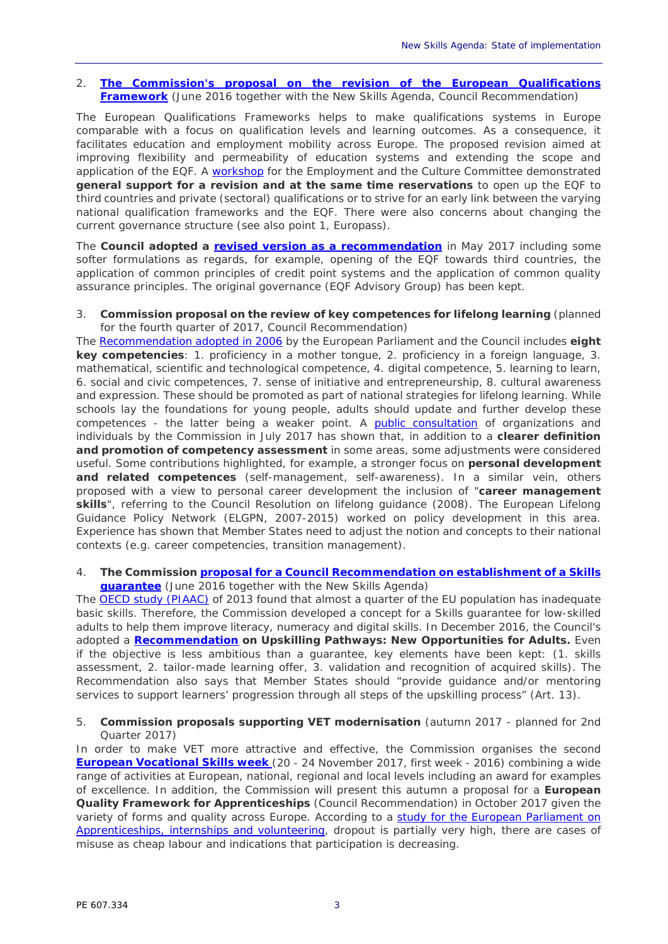### 2. **[The Commission's proposal on the revision of the European Qualifications](http://ec.europa.eu/social/BlobServlet?docId=15686&langId=en)  [Framework](http://ec.europa.eu/social/BlobServlet?docId=15686&langId=en)** (June 2016 together with the New Skills Agenda, Council Recommendation)

The European Qualifications Frameworks helps to make qualifications systems in Europe comparable with a focus on qualification levels and learning outcomes. As a consequence, it facilitates education and employment mobility across Europe. The proposed revision aimed at improving flexibility and permeability of education systems and extending the scope and application of the EQF. A [workshop](http://www.europarl.europa.eu/committees/en/empl/events-workshops.html?id=20160908CHE00091) for the Employment and the Culture Committee demonstrated **general support for a revision and at the same time reservations** to open up the EQF to third countries and private (sectoral) qualifications or to strive for an early link between the varying national qualification frameworks and the EQF. There were also concerns about changing the current governance structure (see also point 1, Europass).

The **Council adopted a [revised version as a recommendation](http://ec.europa.eu/social/main.jsp?langId=en&catId=1266&newsId=2808&furtherNews=yes)** in May 2017 including some softer formulations as regards, for example, opening of the EQF towards third countries, the application of common principles of credit point systems and the application of common quality assurance principles. The original governance (EQF Advisory Group) has been kept.

## 3. **Commission proposal on the review of key competences for lifelong learning** (planned for the fourth quarter of 2017, Council Recommendation)

The [Recommendation adopted in 2006](http://eur-lex.europa.eu/legal-content/EN/TXT/?uri=LEGISSUM%3Ac11090) by the European Parliament and the Council includes **eight key competencies**: 1. proficiency in a mother tongue, 2. proficiency in a foreign language, 3. mathematical, scientific and technological competence, 4. digital competence, 5. learning to learn, 6. social and civic competences, 7. sense of initiative and entrepreneurship, 8. cultural awareness and expression. These should be promoted as part of national strategies for lifelong learning. While schools lay the foundations for young people, adults should update and further develop these competences - the latter being a weaker point. A **[public consultation](https://ec.europa.eu/education/sites/education/files/2017-key-competences-consultation-review_en.pdf)** of organizations and individuals by the Commission in July 2017 has shown that, in addition to a **clearer definition and promotion of competency assessment** in some areas, some adjustments were considered useful. Some contributions highlighted, for example, a stronger focus on **personal development and related competences** (self-management, self-awareness). In a similar vein, others proposed with a view to personal career development the inclusion of "**career management skills**", referring to the Council Resolution on lifelong guidance (2008). The European Lifelong Guidance Policy Network (ELGPN, 2007-2015) worked on policy development in this area. Experience has shown that Member States need to adjust the notion and concepts to their national contexts (e.g. career competencies, transition management).

## 4. **The Commission [proposal for a Council Recommendation on establishment of a Skills](https://ec.europa.eu/transparency/regdoc/rep/1/2016/EN/1-2016-382-EN-F1-1.PDF)  [guarantee](https://ec.europa.eu/transparency/regdoc/rep/1/2016/EN/1-2016-382-EN-F1-1.PDF)** (June 2016 together with the New Skills Agenda)

The [OECD study \(PIAAC\)](https://www.oecd.org/skills/piaac/PIAAC%20EU%20Analysis%2008%2010%202013%20-%20WEB%20version.pdf) of 2013 found that almost a quarter of the EU population has inadequate basic skills. Therefore, the Commission developed a concept for a Skills guarantee for low-skilled adults to help them improve literacy, numeracy and digital skills. In December 2016, the Council's adopted a **[Recommendation](http://eur-lex.europa.eu/legal-content/EN/TXT/?uri=OJ:JOC_2016_484_R_0001) on** *Upskilling Pathways: New Opportunities for Adults***.** Even if the objective is less ambitious than a guarantee, key elements have been kept: (1. skills assessment, 2. tailor-made learning offer, 3. validation and recognition of acquired skills). The Recommendation also says that Member States should "*provide guidance and/or mentoring services to support learners' progression through all steps of the upskilling process*" (Art. 13).

# 5. **Commission proposals supporting VET modernisation** (autumn 2017 - planned for 2nd Quarter 2017)

In order to make VET more attractive and effective, the Commission organises the second **[European Vocational Skills week](http://ec.europa.eu/social/main.jsp?langId=en&catId=1261)** (20 - 24 November 2017, first week - 2016) combining a wide range of activities at European, national, regional and local levels including an award for examples of excellence. In addition, the Commission will present this autumn a proposal for a **European Quality Framework for Apprenticeships** (Council Recommendation) in October 2017 given the variety of forms and quality across Europe. According to a [study for the European Parliament](http://www.europarl.europa.eu/RegData/etudes/STUD/2017/602056/IPOL_STU(2017)602056_EN.pdf) on [Apprenticeships, internships and volunteering,](http://www.europarl.europa.eu/RegData/etudes/STUD/2017/602056/IPOL_STU(2017)602056_EN.pdf) dropout is partially very high, there are cases of misuse as cheap labour and indications that participation is decreasing.